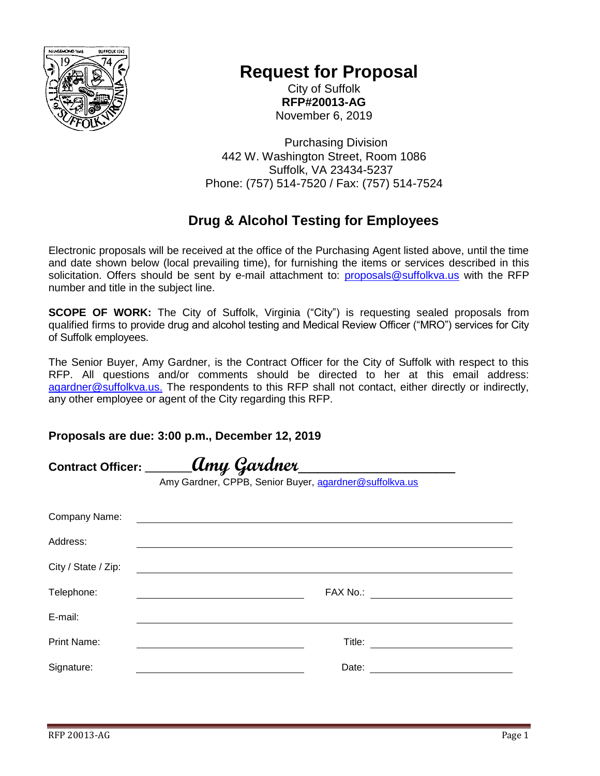

## **Request for Proposal**

City of Suffolk **RFP#20013-AG** November 6, 2019

Purchasing Division 442 W. Washington Street, Room 1086 Suffolk, VA 23434-5237 Phone: (757) 514-7520 / Fax: (757) 514-7524

## **Drug & Alcohol Testing for Employees**

Electronic proposals will be received at the office of the Purchasing Agent listed above, until the time and date shown below (local prevailing time), for furnishing the items or services described in this solicitation. Offers should be sent by e-mail attachment to: [proposals@suffolkva.us](mailto:proposals@suffolkva.us) with the RFP number and title in the subject line.

**SCOPE OF WORK:** The City of Suffolk, Virginia ("City") is requesting sealed proposals from qualified firms to provide drug and alcohol testing and Medical Review Officer ("MRO") services for City of Suffolk employees.

The Senior Buyer, Amy Gardner, is the Contract Officer for the City of Suffolk with respect to this RFP. All questions and/or comments should be directed to her at this email address: [agardner@suffolkva.us.](mailto:agardner@suffolkva.us) The respondents to this RFP shall not contact, either directly or indirectly, any other employee or agent of the City regarding this RFP.

## **Proposals are due: 3:00 p.m., December 12, 2019**

| Contract Officer: _____ | .Amy Gardner                                                                                                         |
|-------------------------|----------------------------------------------------------------------------------------------------------------------|
|                         | Amy Gardner, CPPB, Senior Buyer, agardner@suffolkva.us                                                               |
| Company Name:           |                                                                                                                      |
| Address:                |                                                                                                                      |
| City / State / Zip:     | <u> 1989 - Johann John Stein, markin film fan de ferstjer fan de ferstjer fan de ferstjer fan de ferstjer fan de</u> |
| Telephone:              |                                                                                                                      |
| E-mail:                 |                                                                                                                      |
| <b>Print Name:</b>      |                                                                                                                      |
| Signature:              | Date:                                                                                                                |
|                         |                                                                                                                      |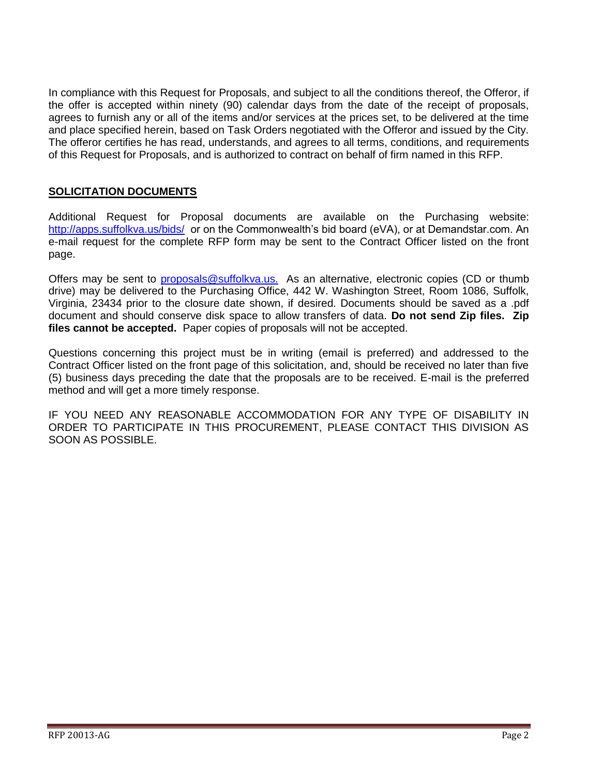In compliance with this Request for Proposals, and subject to all the conditions thereof, the Offeror, if the offer is accepted within ninety (90) calendar days from the date of the receipt of proposals, agrees to furnish any or all of the items and/or services at the prices set, to be delivered at the time and place specified herein, based on Task Orders negotiated with the Offeror and issued by the City. The offeror certifies he has read, understands, and agrees to all terms, conditions, and requirements of this Request for Proposals, and is authorized to contract on behalf of firm named in this RFP.

## **SOLICITATION DOCUMENTS**

Additional Request for Proposal documents are available on the Purchasing website: <http://apps.suffolkva.us/bids/>or on the Commonwealth's bid board (eVA), or at Demandstar.com. An e-mail request for the complete RFP form may be sent to the Contract Officer listed on the front page.

Offers may be sent to [proposals@suffolkva.us.](mailto:proposals@suffolkva.us) As an alternative, electronic copies (CD or thumb drive) may be delivered to the Purchasing Office, 442 W. Washington Street, Room 1086, Suffolk, Virginia, 23434 prior to the closure date shown, if desired. Documents should be saved as a .pdf document and should conserve disk space to allow transfers of data. **Do not send Zip files. Zip files cannot be accepted.** Paper copies of proposals will not be accepted.

Questions concerning this project must be in writing (email is preferred) and addressed to the Contract Officer listed on the front page of this solicitation, and, should be received no later than five (5) business days preceding the date that the proposals are to be received. E-mail is the preferred method and will get a more timely response.

IF YOU NEED ANY REASONABLE ACCOMMODATION FOR ANY TYPE OF DISABILITY IN ORDER TO PARTICIPATE IN THIS PROCUREMENT, PLEASE CONTACT THIS DIVISION AS SOON AS POSSIBLE.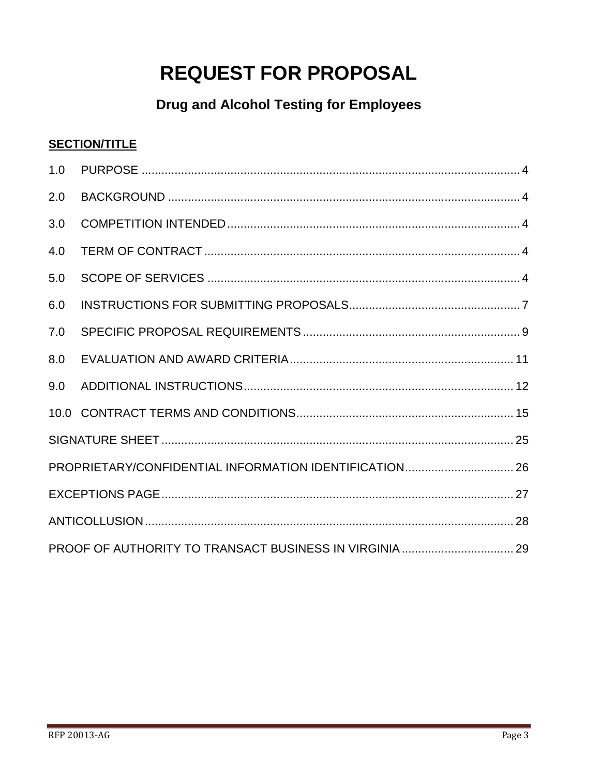# **REQUEST FOR PROPOSAL**

## **Drug and Alcohol Testing for Employees**

## **SECTION/TITLE**

| 1.0 |  |  |  |
|-----|--|--|--|
| 2.0 |  |  |  |
| 3.0 |  |  |  |
| 4.0 |  |  |  |
| 5.0 |  |  |  |
| 6.0 |  |  |  |
| 7.0 |  |  |  |
| 8.0 |  |  |  |
| 9.0 |  |  |  |
|     |  |  |  |
|     |  |  |  |
|     |  |  |  |
|     |  |  |  |
|     |  |  |  |
|     |  |  |  |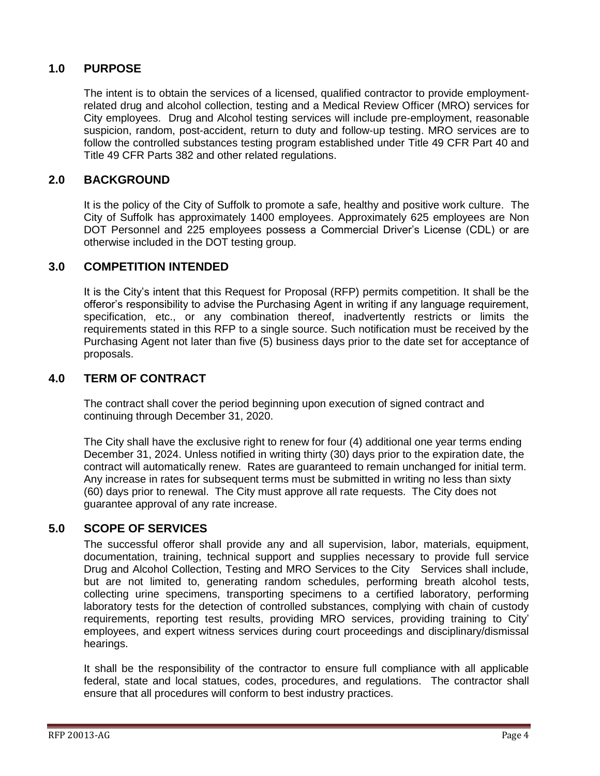## <span id="page-3-0"></span>**1.0 PURPOSE**

The intent is to obtain the services of a licensed, qualified contractor to provide employmentrelated drug and alcohol collection, testing and a Medical Review Officer (MRO) services for City employees. Drug and Alcohol testing services will include pre-employment, reasonable suspicion, random, post-accident, return to duty and follow-up testing. MRO services are to follow the controlled substances testing program established under Title 49 CFR Part 40 and Title 49 CFR Parts 382 and other related regulations.

## <span id="page-3-1"></span>**2.0 BACKGROUND**

It is the policy of the City of Suffolk to promote a safe, healthy and positive work culture. The City of Suffolk has approximately 1400 employees. Approximately 625 employees are Non DOT Personnel and 225 employees possess a Commercial Driver's License (CDL) or are otherwise included in the DOT testing group.

## <span id="page-3-2"></span>**3.0 COMPETITION INTENDED**

It is the City's intent that this Request for Proposal (RFP) permits competition. It shall be the offeror's responsibility to advise the Purchasing Agent in writing if any language requirement, specification, etc., or any combination thereof, inadvertently restricts or limits the requirements stated in this RFP to a single source. Such notification must be received by the Purchasing Agent not later than five (5) business days prior to the date set for acceptance of proposals.

## <span id="page-3-3"></span>**4.0 TERM OF CONTRACT**

The contract shall cover the period beginning upon execution of signed contract and continuing through December 31, 2020.

The City shall have the exclusive right to renew for four (4) additional one year terms ending December 31, 2024. Unless notified in writing thirty (30) days prior to the expiration date, the contract will automatically renew. Rates are guaranteed to remain unchanged for initial term. Any increase in rates for subsequent terms must be submitted in writing no less than sixty (60) days prior to renewal. The City must approve all rate requests. The City does not guarantee approval of any rate increase.

## <span id="page-3-4"></span>**5.0 SCOPE OF SERVICES**

The successful offeror shall provide any and all supervision, labor, materials, equipment, documentation, training, technical support and supplies necessary to provide full service Drug and Alcohol Collection, Testing and MRO Services to the City Services shall include, but are not limited to, generating random schedules, performing breath alcohol tests, collecting urine specimens, transporting specimens to a certified laboratory, performing laboratory tests for the detection of controlled substances, complying with chain of custody requirements, reporting test results, providing MRO services, providing training to City' employees, and expert witness services during court proceedings and disciplinary/dismissal hearings.

It shall be the responsibility of the contractor to ensure full compliance with all applicable federal, state and local statues, codes, procedures, and regulations. The contractor shall ensure that all procedures will conform to best industry practices.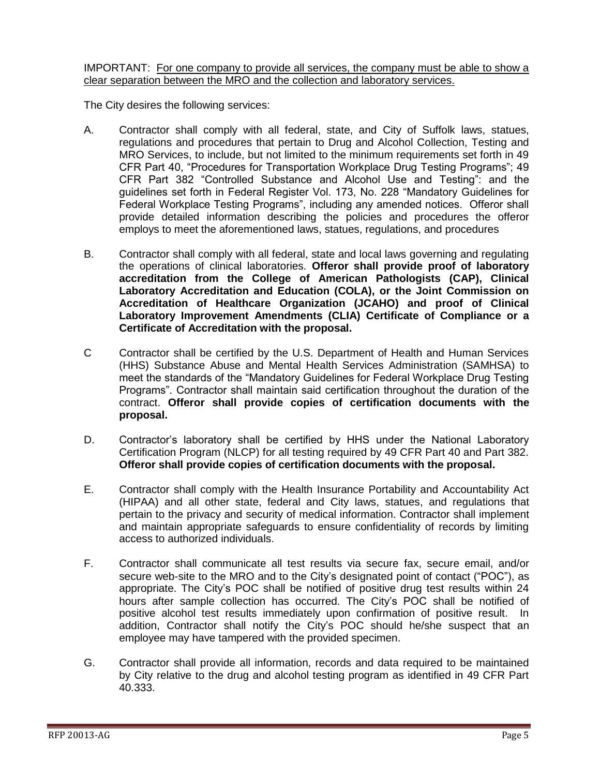#### IMPORTANT: For one company to provide all services, the company must be able to show a clear separation between the MRO and the collection and laboratory services.

The City desires the following services:

- A. Contractor shall comply with all federal, state, and City of Suffolk laws, statues, regulations and procedures that pertain to Drug and Alcohol Collection, Testing and MRO Services, to include, but not limited to the minimum requirements set forth in 49 CFR Part 40, "Procedures for Transportation Workplace Drug Testing Programs"; 49 CFR Part 382 "Controlled Substance and Alcohol Use and Testing": and the guidelines set forth in Federal Register Vol. 173, No. 228 "Mandatory Guidelines for Federal Workplace Testing Programs", including any amended notices. Offeror shall provide detailed information describing the policies and procedures the offeror employs to meet the aforementioned laws, statues, regulations, and procedures
- B. Contractor shall comply with all federal, state and local laws governing and regulating the operations of clinical laboratories. **Offeror shall provide proof of laboratory accreditation from the College of American Pathologists (CAP), Clinical Laboratory Accreditation and Education (COLA), or the Joint Commission on Accreditation of Healthcare Organization (JCAHO) and proof of Clinical Laboratory Improvement Amendments (CLIA) Certificate of Compliance or a Certificate of Accreditation with the proposal.**
- C Contractor shall be certified by the U.S. Department of Health and Human Services (HHS) Substance Abuse and Mental Health Services Administration (SAMHSA) to meet the standards of the "Mandatory Guidelines for Federal Workplace Drug Testing Programs". Contractor shall maintain said certification throughout the duration of the contract. **Offeror shall provide copies of certification documents with the proposal.**
- D. Contractor's laboratory shall be certified by HHS under the National Laboratory Certification Program (NLCP) for all testing required by 49 CFR Part 40 and Part 382. **Offeror shall provide copies of certification documents with the proposal.**
- E. Contractor shall comply with the Health Insurance Portability and Accountability Act (HIPAA) and all other state, federal and City laws, statues, and regulations that pertain to the privacy and security of medical information. Contractor shall implement and maintain appropriate safeguards to ensure confidentiality of records by limiting access to authorized individuals.
- F. Contractor shall communicate all test results via secure fax, secure email, and/or secure web-site to the MRO and to the City's designated point of contact ("POC"), as appropriate. The City's POC shall be notified of positive drug test results within 24 hours after sample collection has occurred. The City's POC shall be notified of positive alcohol test results immediately upon confirmation of positive result. In addition, Contractor shall notify the City's POC should he/she suspect that an employee may have tampered with the provided specimen.
- G. Contractor shall provide all information, records and data required to be maintained by City relative to the drug and alcohol testing program as identified in 49 CFR Part 40.333.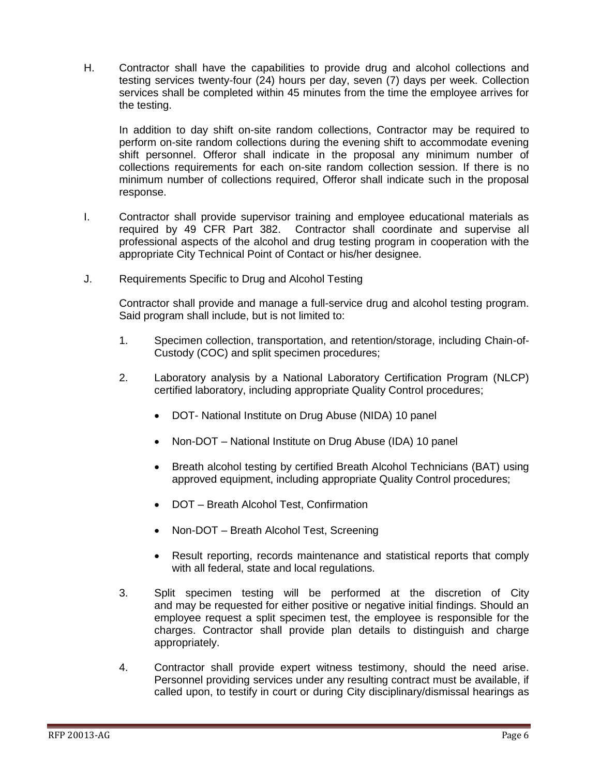H. Contractor shall have the capabilities to provide drug and alcohol collections and testing services twenty-four (24) hours per day, seven (7) days per week. Collection services shall be completed within 45 minutes from the time the employee arrives for the testing.

In addition to day shift on-site random collections, Contractor may be required to perform on-site random collections during the evening shift to accommodate evening shift personnel. Offeror shall indicate in the proposal any minimum number of collections requirements for each on-site random collection session. If there is no minimum number of collections required, Offeror shall indicate such in the proposal response.

- I. Contractor shall provide supervisor training and employee educational materials as required by 49 CFR Part 382. Contractor shall coordinate and supervise all professional aspects of the alcohol and drug testing program in cooperation with the appropriate City Technical Point of Contact or his/her designee.
- J. Requirements Specific to Drug and Alcohol Testing

Contractor shall provide and manage a full-service drug and alcohol testing program. Said program shall include, but is not limited to:

- 1. Specimen collection, transportation, and retention/storage, including Chain-of-Custody (COC) and split specimen procedures;
- 2. Laboratory analysis by a National Laboratory Certification Program (NLCP) certified laboratory, including appropriate Quality Control procedures;
	- DOT- National Institute on Drug Abuse (NIDA) 10 panel
	- Non-DOT National Institute on Drug Abuse (IDA) 10 panel
	- Breath alcohol testing by certified Breath Alcohol Technicians (BAT) using approved equipment, including appropriate Quality Control procedures;
	- DOT Breath Alcohol Test, Confirmation
	- Non-DOT Breath Alcohol Test, Screening
	- Result reporting, records maintenance and statistical reports that comply with all federal, state and local regulations.
- 3. Split specimen testing will be performed at the discretion of City and may be requested for either positive or negative initial findings. Should an employee request a split specimen test, the employee is responsible for the charges. Contractor shall provide plan details to distinguish and charge appropriately.
- 4. Contractor shall provide expert witness testimony, should the need arise. Personnel providing services under any resulting contract must be available, if called upon, to testify in court or during City disciplinary/dismissal hearings as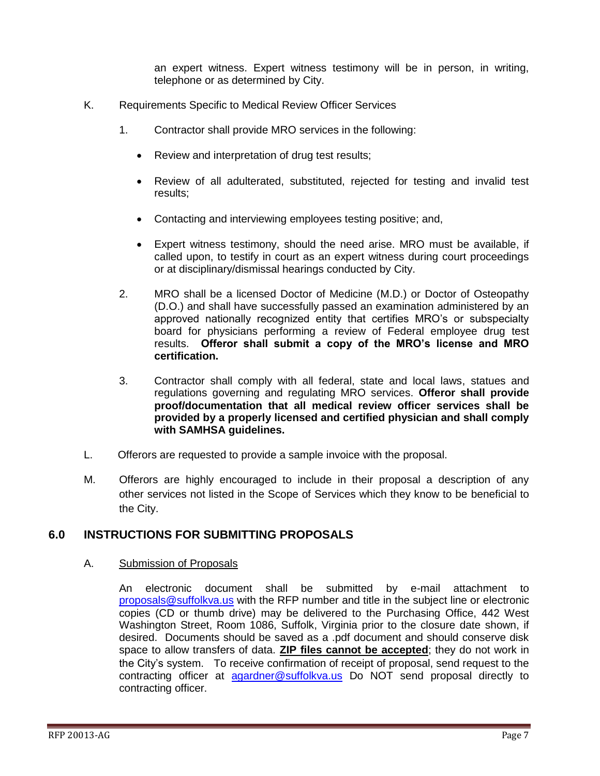an expert witness. Expert witness testimony will be in person, in writing, telephone or as determined by City.

- K. Requirements Specific to Medical Review Officer Services
	- 1. Contractor shall provide MRO services in the following:
		- Review and interpretation of drug test results;
		- Review of all adulterated, substituted, rejected for testing and invalid test results;
		- Contacting and interviewing employees testing positive; and,
		- Expert witness testimony, should the need arise. MRO must be available, if called upon, to testify in court as an expert witness during court proceedings or at disciplinary/dismissal hearings conducted by City.
	- 2. MRO shall be a licensed Doctor of Medicine (M.D.) or Doctor of Osteopathy (D.O.) and shall have successfully passed an examination administered by an approved nationally recognized entity that certifies MRO's or subspecialty board for physicians performing a review of Federal employee drug test results. **Offeror shall submit a copy of the MRO's license and MRO certification.**
	- 3. Contractor shall comply with all federal, state and local laws, statues and regulations governing and regulating MRO services. **Offeror shall provide proof/documentation that all medical review officer services shall be provided by a properly licensed and certified physician and shall comply with SAMHSA guidelines.**
- L. Offerors are requested to provide a sample invoice with the proposal.
- M. Offerors are highly encouraged to include in their proposal a description of any other services not listed in the Scope of Services which they know to be beneficial to the City.

## <span id="page-6-0"></span>**6.0 INSTRUCTIONS FOR SUBMITTING PROPOSALS**

#### A. Submission of Proposals

An electronic document shall be submitted by e-mail attachment to [proposals@suffolkva.us](mailto:proposals@suffolkva.us) with the RFP number and title in the subject line or electronic copies (CD or thumb drive) may be delivered to the Purchasing Office, 442 West Washington Street, Room 1086, Suffolk, Virginia prior to the closure date shown, if desired. Documents should be saved as a .pdf document and should conserve disk space to allow transfers of data. **ZIP files cannot be accepted**; they do not work in the City's system. To receive confirmation of receipt of proposal, send request to the contracting officer at [agardner@suffolkva.us](mailto:agardner@suffolkva.us) Do NOT send proposal directly to contracting officer.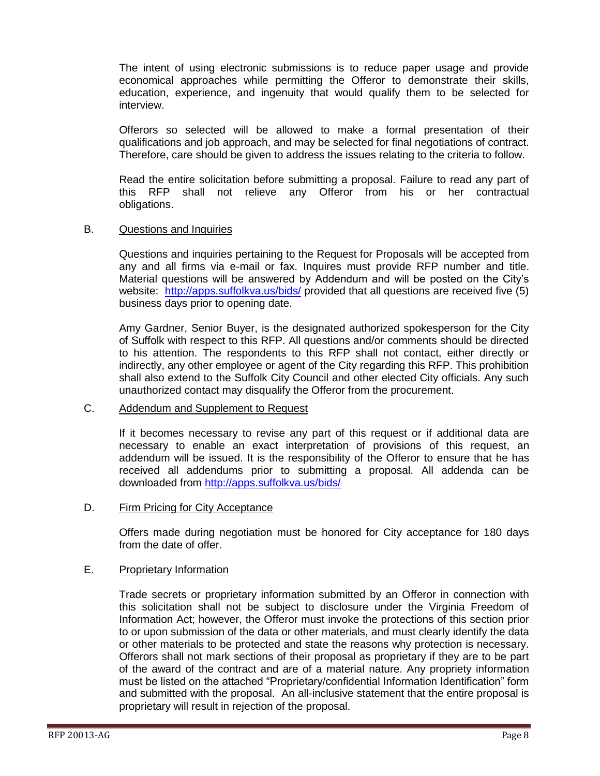The intent of using electronic submissions is to reduce paper usage and provide economical approaches while permitting the Offeror to demonstrate their skills, education, experience, and ingenuity that would qualify them to be selected for interview.

Offerors so selected will be allowed to make a formal presentation of their qualifications and job approach, and may be selected for final negotiations of contract. Therefore, care should be given to address the issues relating to the criteria to follow.

Read the entire solicitation before submitting a proposal. Failure to read any part of this RFP shall not relieve any Offeror from his or her contractual obligations.

#### B. Questions and Inquiries

Questions and inquiries pertaining to the Request for Proposals will be accepted from any and all firms via e-mail or fax. Inquires must provide RFP number and title. Material questions will be answered by Addendum and will be posted on the City's website: <http://apps.suffolkva.us/bids/> provided that all questions are received five (5) business days prior to opening date.

Amy Gardner, Senior Buyer, is the designated authorized spokesperson for the City of Suffolk with respect to this RFP. All questions and/or comments should be directed to his attention. The respondents to this RFP shall not contact, either directly or indirectly, any other employee or agent of the City regarding this RFP. This prohibition shall also extend to the Suffolk City Council and other elected City officials. Any such unauthorized contact may disqualify the Offeror from the procurement.

### C. Addendum and Supplement to Request

If it becomes necessary to revise any part of this request or if additional data are necessary to enable an exact interpretation of provisions of this request, an addendum will be issued. It is the responsibility of the Offeror to ensure that he has received all addendums prior to submitting a proposal. All addenda can be downloaded from<http://apps.suffolkva.us/bids/>

### D. Firm Pricing for City Acceptance

Offers made during negotiation must be honored for City acceptance for 180 days from the date of offer.

## E. Proprietary Information

Trade secrets or proprietary information submitted by an Offeror in connection with this solicitation shall not be subject to disclosure under the Virginia Freedom of Information Act; however, the Offeror must invoke the protections of this section prior to or upon submission of the data or other materials, and must clearly identify the data or other materials to be protected and state the reasons why protection is necessary. Offerors shall not mark sections of their proposal as proprietary if they are to be part of the award of the contract and are of a material nature. Any propriety information must be listed on the attached "Proprietary/confidential Information Identification" form and submitted with the proposal. An all-inclusive statement that the entire proposal is proprietary will result in rejection of the proposal.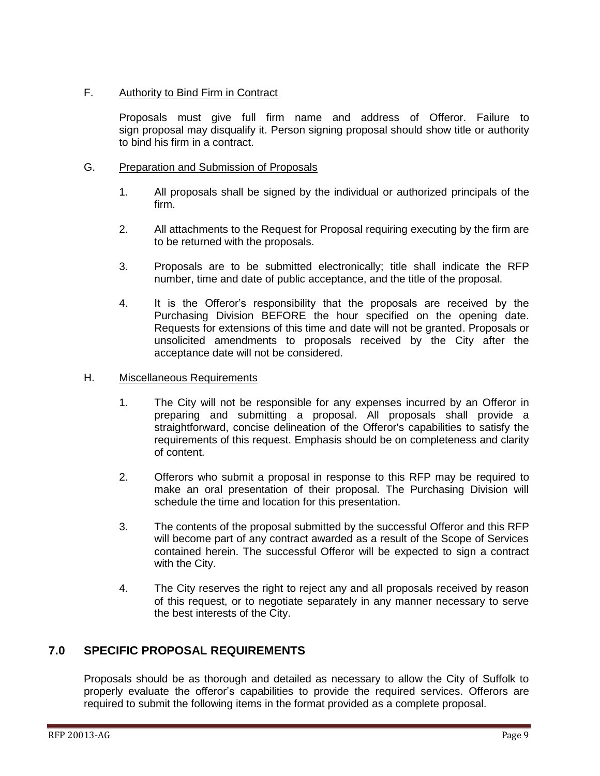## F. Authority to Bind Firm in Contract

Proposals must give full firm name and address of Offeror. Failure to sign proposal may disqualify it. Person signing proposal should show title or authority to bind his firm in a contract.

## G. Preparation and Submission of Proposals

- 1. All proposals shall be signed by the individual or authorized principals of the firm.
- 2. All attachments to the Request for Proposal requiring executing by the firm are to be returned with the proposals.
- 3. Proposals are to be submitted electronically; title shall indicate the RFP number, time and date of public acceptance, and the title of the proposal.
- 4. It is the Offeror's responsibility that the proposals are received by the Purchasing Division BEFORE the hour specified on the opening date. Requests for extensions of this time and date will not be granted. Proposals or unsolicited amendments to proposals received by the City after the acceptance date will not be considered.

### H. Miscellaneous Requirements

- 1. The City will not be responsible for any expenses incurred by an Offeror in preparing and submitting a proposal. All proposals shall provide a straightforward, concise delineation of the Offeror's capabilities to satisfy the requirements of this request. Emphasis should be on completeness and clarity of content.
- 2. Offerors who submit a proposal in response to this RFP may be required to make an oral presentation of their proposal. The Purchasing Division will schedule the time and location for this presentation.
- 3. The contents of the proposal submitted by the successful Offeror and this RFP will become part of any contract awarded as a result of the Scope of Services contained herein. The successful Offeror will be expected to sign a contract with the City.
- 4. The City reserves the right to reject any and all proposals received by reason of this request, or to negotiate separately in any manner necessary to serve the best interests of the City.

## <span id="page-8-0"></span>**7.0 SPECIFIC PROPOSAL REQUIREMENTS**

Proposals should be as thorough and detailed as necessary to allow the City of Suffolk to properly evaluate the offeror's capabilities to provide the required services. Offerors are required to submit the following items in the format provided as a complete proposal.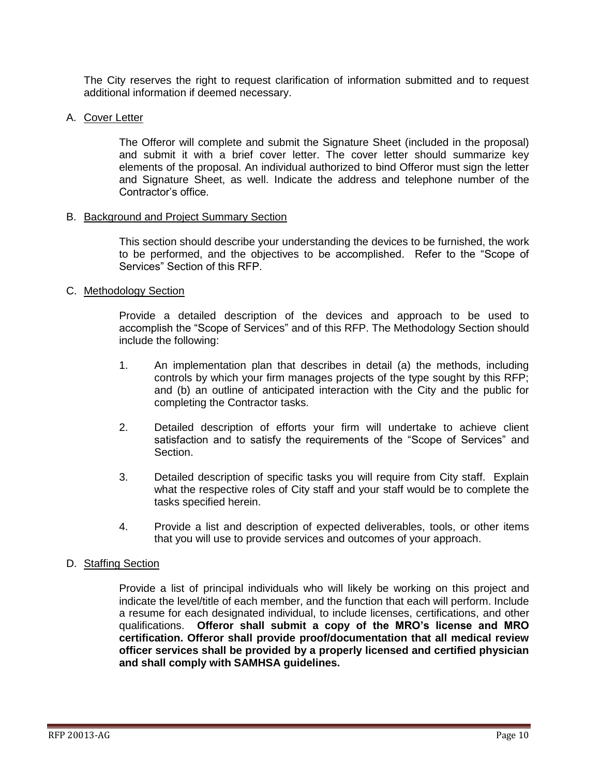The City reserves the right to request clarification of information submitted and to request additional information if deemed necessary.

#### A. Cover Letter

The Offeror will complete and submit the Signature Sheet (included in the proposal) and submit it with a brief cover letter. The cover letter should summarize key elements of the proposal. An individual authorized to bind Offeror must sign the letter and Signature Sheet, as well. Indicate the address and telephone number of the Contractor's office.

#### B. Background and Project Summary Section

This section should describe your understanding the devices to be furnished, the work to be performed, and the objectives to be accomplished. Refer to the "Scope of Services" Section of this RFP.

#### C. Methodology Section

Provide a detailed description of the devices and approach to be used to accomplish the "Scope of Services" and of this RFP. The Methodology Section should include the following:

- 1. An implementation plan that describes in detail (a) the methods, including controls by which your firm manages projects of the type sought by this RFP; and (b) an outline of anticipated interaction with the City and the public for completing the Contractor tasks.
- 2. Detailed description of efforts your firm will undertake to achieve client satisfaction and to satisfy the requirements of the "Scope of Services" and Section.
- 3. Detailed description of specific tasks you will require from City staff. Explain what the respective roles of City staff and your staff would be to complete the tasks specified herein.
- 4. Provide a list and description of expected deliverables, tools, or other items that you will use to provide services and outcomes of your approach.

#### D. Staffing Section

Provide a list of principal individuals who will likely be working on this project and indicate the level/title of each member, and the function that each will perform. Include a resume for each designated individual, to include licenses, certifications, and other qualifications. **Offeror shall submit a copy of the MRO's license and MRO certification. Offeror shall provide proof/documentation that all medical review officer services shall be provided by a properly licensed and certified physician and shall comply with SAMHSA guidelines.**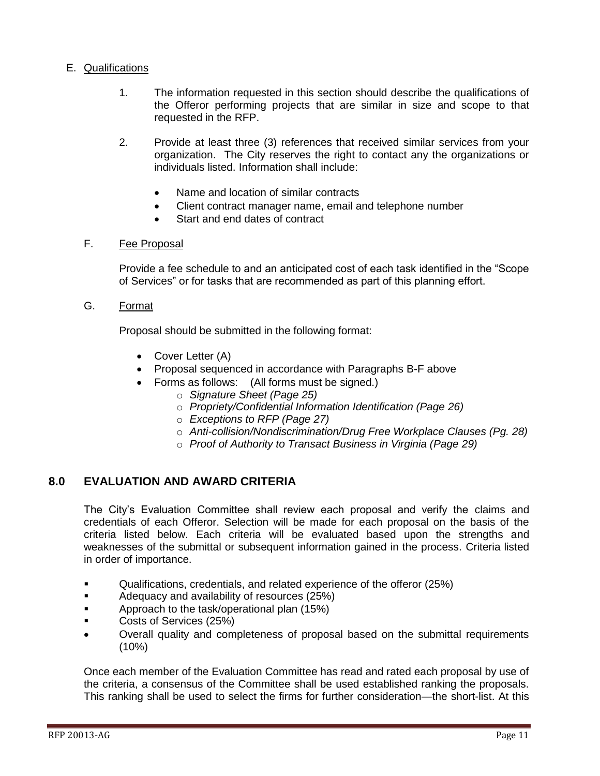## E. Qualifications

- 1. The information requested in this section should describe the qualifications of the Offeror performing projects that are similar in size and scope to that requested in the RFP.
- 2. Provide at least three (3) references that received similar services from your organization. The City reserves the right to contact any the organizations or individuals listed. Information shall include:
	- Name and location of similar contracts
	- Client contract manager name, email and telephone number
	- Start and end dates of contract

### F. Fee Proposal

Provide a fee schedule to and an anticipated cost of each task identified in the "Scope of Services" or for tasks that are recommended as part of this planning effort.

G. Format

Proposal should be submitted in the following format:

- Cover Letter (A)
- Proposal sequenced in accordance with Paragraphs B-F above
- Forms as follows: (All forms must be signed.)
	- o *Signature Sheet (Page 25)*
	- o *Propriety/Confidential Information Identification (Page 26)*
	- o *Exceptions to RFP (Page 27)*
	- o *Anti-collision/Nondiscrimination/Drug Free Workplace Clauses (Pg. 28)*
	- o *Proof of Authority to Transact Business in Virginia (Page 29)*

## <span id="page-10-0"></span>**8.0 EVALUATION AND AWARD CRITERIA**

The City's Evaluation Committee shall review each proposal and verify the claims and credentials of each Offeror. Selection will be made for each proposal on the basis of the criteria listed below. Each criteria will be evaluated based upon the strengths and weaknesses of the submittal or subsequent information gained in the process. Criteria listed in order of importance.

- Qualifications, credentials, and related experience of the offeror (25%)
- Adequacy and availability of resources (25%)
- Approach to the task/operational plan (15%)
- Costs of Services (25%)
- Overall quality and completeness of proposal based on the submittal requirements (10%)

Once each member of the Evaluation Committee has read and rated each proposal by use of the criteria, a consensus of the Committee shall be used established ranking the proposals. This ranking shall be used to select the firms for further consideration—the short-list. At this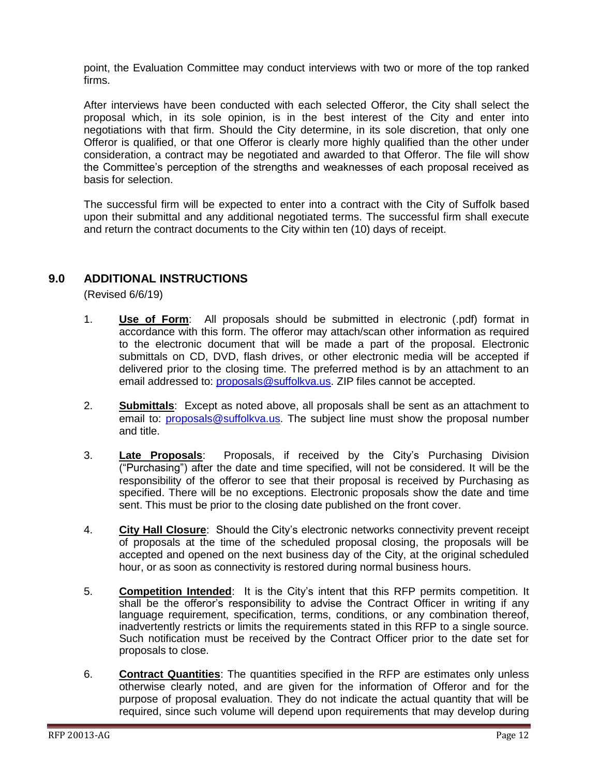point, the Evaluation Committee may conduct interviews with two or more of the top ranked firms.

After interviews have been conducted with each selected Offeror, the City shall select the proposal which, in its sole opinion, is in the best interest of the City and enter into negotiations with that firm. Should the City determine, in its sole discretion, that only one Offeror is qualified, or that one Offeror is clearly more highly qualified than the other under consideration, a contract may be negotiated and awarded to that Offeror. The file will show the Committee's perception of the strengths and weaknesses of each proposal received as basis for selection.

The successful firm will be expected to enter into a contract with the City of Suffolk based upon their submittal and any additional negotiated terms. The successful firm shall execute and return the contract documents to the City within ten (10) days of receipt.

## <span id="page-11-0"></span>**9.0 ADDITIONAL INSTRUCTIONS**

(Revised 6/6/19)

- 1. **Use of Form**: All proposals should be submitted in electronic (.pdf) format in accordance with this form. The offeror may attach/scan other information as required to the electronic document that will be made a part of the proposal. Electronic submittals on CD, DVD, flash drives, or other electronic media will be accepted if delivered prior to the closing time. The preferred method is by an attachment to an email addressed to: [proposals@suffolkva.us.](mailto:proposals@suffolkva.us) ZIP files cannot be accepted.
- 2. **Submittals**: Except as noted above, all proposals shall be sent as an attachment to email to: [proposals@suffolkva.us.](mailto:proposals@suffolkva.us) The subject line must show the proposal number and title.
- 3. **Late Proposals**: Proposals, if received by the City's Purchasing Division ("Purchasing") after the date and time specified, will not be considered. It will be the responsibility of the offeror to see that their proposal is received by Purchasing as specified. There will be no exceptions. Electronic proposals show the date and time sent. This must be prior to the closing date published on the front cover.
- 4. **City Hall Closure**: Should the City's electronic networks connectivity prevent receipt of proposals at the time of the scheduled proposal closing, the proposals will be accepted and opened on the next business day of the City, at the original scheduled hour, or as soon as connectivity is restored during normal business hours.
- 5. **Competition Intended**: It is the City's intent that this RFP permits competition. It shall be the offeror's responsibility to advise the Contract Officer in writing if any language requirement, specification, terms, conditions, or any combination thereof, inadvertently restricts or limits the requirements stated in this RFP to a single source. Such notification must be received by the Contract Officer prior to the date set for proposals to close.
- 6. **Contract Quantities**: The quantities specified in the RFP are estimates only unless otherwise clearly noted, and are given for the information of Offeror and for the purpose of proposal evaluation. They do not indicate the actual quantity that will be required, since such volume will depend upon requirements that may develop during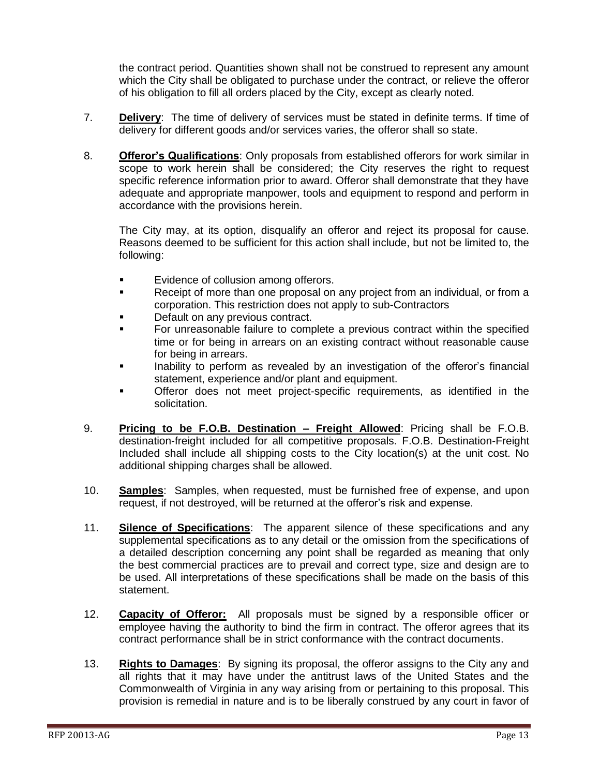the contract period. Quantities shown shall not be construed to represent any amount which the City shall be obligated to purchase under the contract, or relieve the offeror of his obligation to fill all orders placed by the City, except as clearly noted.

- 7. **Delivery**: The time of delivery of services must be stated in definite terms. If time of delivery for different goods and/or services varies, the offeror shall so state.
- 8. **Offeror's Qualifications**: Only proposals from established offerors for work similar in scope to work herein shall be considered; the City reserves the right to request specific reference information prior to award. Offeror shall demonstrate that they have adequate and appropriate manpower, tools and equipment to respond and perform in accordance with the provisions herein.

The City may, at its option, disqualify an offeror and reject its proposal for cause. Reasons deemed to be sufficient for this action shall include, but not be limited to, the following:

- **Exidence of collusion among offerors.**
- Receipt of more than one proposal on any project from an individual, or from a corporation. This restriction does not apply to sub-Contractors
- Default on any previous contract.
- For unreasonable failure to complete a previous contract within the specified time or for being in arrears on an existing contract without reasonable cause for being in arrears.
- Inability to perform as revealed by an investigation of the offeror's financial statement, experience and/or plant and equipment.
- Offeror does not meet project-specific requirements, as identified in the solicitation.
- 9. **Pricing to be F.O.B. Destination – Freight Allowed**: Pricing shall be F.O.B. destination-freight included for all competitive proposals. F.O.B. Destination-Freight Included shall include all shipping costs to the City location(s) at the unit cost. No additional shipping charges shall be allowed.
- 10. **Samples**: Samples, when requested, must be furnished free of expense, and upon request, if not destroyed, will be returned at the offeror's risk and expense.
- 11. **Silence of Specifications**: The apparent silence of these specifications and any supplemental specifications as to any detail or the omission from the specifications of a detailed description concerning any point shall be regarded as meaning that only the best commercial practices are to prevail and correct type, size and design are to be used. All interpretations of these specifications shall be made on the basis of this statement.
- 12. **Capacity of Offeror:** All proposals must be signed by a responsible officer or employee having the authority to bind the firm in contract. The offeror agrees that its contract performance shall be in strict conformance with the contract documents.
- 13. **Rights to Damages**: By signing its proposal, the offeror assigns to the City any and all rights that it may have under the antitrust laws of the United States and the Commonwealth of Virginia in any way arising from or pertaining to this proposal. This provision is remedial in nature and is to be liberally construed by any court in favor of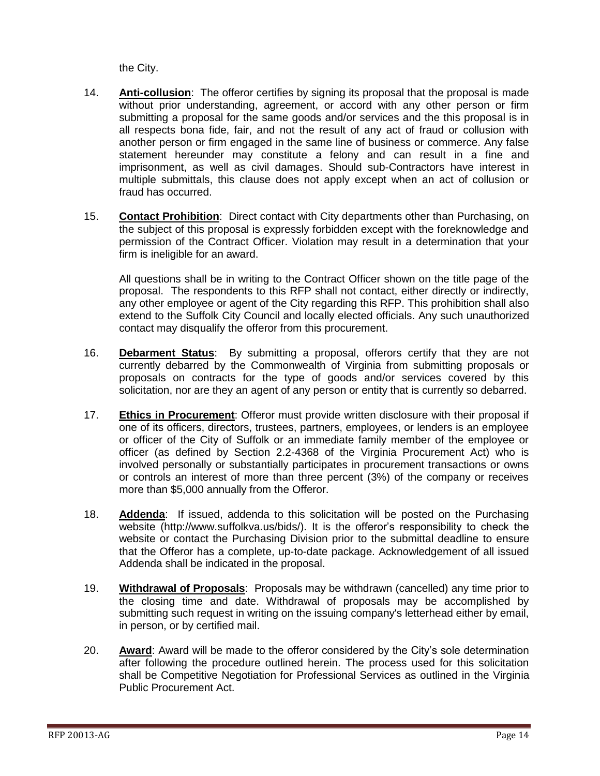the City.

- 14. **Anti-collusion**: The offeror certifies by signing its proposal that the proposal is made without prior understanding, agreement, or accord with any other person or firm submitting a proposal for the same goods and/or services and the this proposal is in all respects bona fide, fair, and not the result of any act of fraud or collusion with another person or firm engaged in the same line of business or commerce. Any false statement hereunder may constitute a felony and can result in a fine and imprisonment, as well as civil damages. Should sub-Contractors have interest in multiple submittals, this clause does not apply except when an act of collusion or fraud has occurred.
- 15. **Contact Prohibition**: Direct contact with City departments other than Purchasing, on the subject of this proposal is expressly forbidden except with the foreknowledge and permission of the Contract Officer. Violation may result in a determination that your firm is ineligible for an award.

All questions shall be in writing to the Contract Officer shown on the title page of the proposal. The respondents to this RFP shall not contact, either directly or indirectly, any other employee or agent of the City regarding this RFP. This prohibition shall also extend to the Suffolk City Council and locally elected officials. Any such unauthorized contact may disqualify the offeror from this procurement.

- 16. **Debarment Status**: By submitting a proposal, offerors certify that they are not currently debarred by the Commonwealth of Virginia from submitting proposals or proposals on contracts for the type of goods and/or services covered by this solicitation, nor are they an agent of any person or entity that is currently so debarred.
- 17. **Ethics in Procurement**: Offeror must provide written disclosure with their proposal if one of its officers, directors, trustees, partners, employees, or lenders is an employee or officer of the City of Suffolk or an immediate family member of the employee or officer (as defined by Section 2.2-4368 of the Virginia Procurement Act) who is involved personally or substantially participates in procurement transactions or owns or controls an interest of more than three percent (3%) of the company or receives more than \$5,000 annually from the Offeror.
- 18. **Addenda**: If issued, addenda to this solicitation will be posted on the Purchasing website (http://www.suffolkva.us/bids/). It is the offeror's responsibility to check the website or contact the Purchasing Division prior to the submittal deadline to ensure that the Offeror has a complete, up-to-date package. Acknowledgement of all issued Addenda shall be indicated in the proposal.
- 19. **Withdrawal of Proposals**: Proposals may be withdrawn (cancelled) any time prior to the closing time and date. Withdrawal of proposals may be accomplished by submitting such request in writing on the issuing company's letterhead either by email, in person, or by certified mail.
- 20. **Award**: Award will be made to the offeror considered by the City's sole determination after following the procedure outlined herein. The process used for this solicitation shall be Competitive Negotiation for Professional Services as outlined in the Virginia Public Procurement Act.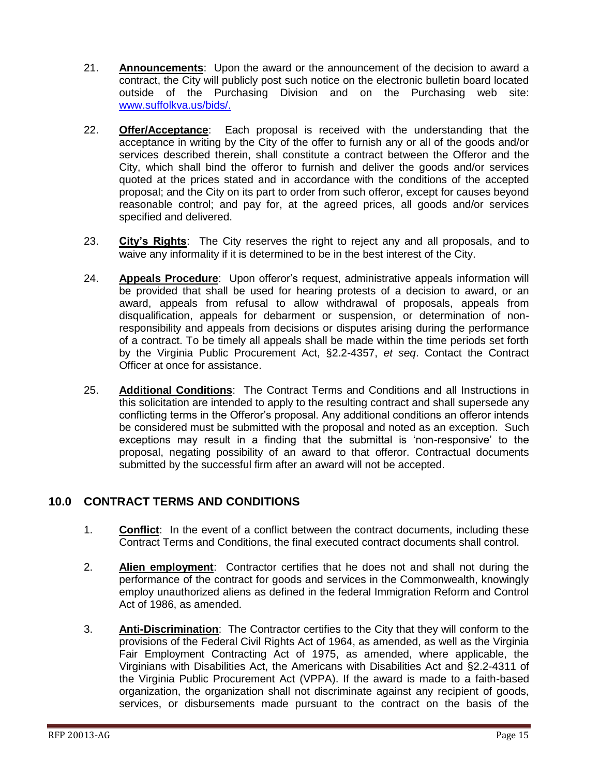- 21. **Announcements**: Upon the award or the announcement of the decision to award a contract, the City will publicly post such notice on the electronic bulletin board located outside of the Purchasing Division and on the Purchasing web site: [www.suffolkva.us/bids/.](http://www.suffolkva.us/bids/)
- 22. **Offer/Acceptance**: Each proposal is received with the understanding that the acceptance in writing by the City of the offer to furnish any or all of the goods and/or services described therein, shall constitute a contract between the Offeror and the City, which shall bind the offeror to furnish and deliver the goods and/or services quoted at the prices stated and in accordance with the conditions of the accepted proposal; and the City on its part to order from such offeror, except for causes beyond reasonable control; and pay for, at the agreed prices, all goods and/or services specified and delivered.
- 23. **City's Rights**: The City reserves the right to reject any and all proposals, and to waive any informality if it is determined to be in the best interest of the City.
- 24. **Appeals Procedure**: Upon offeror's request, administrative appeals information will be provided that shall be used for hearing protests of a decision to award, or an award, appeals from refusal to allow withdrawal of proposals, appeals from disqualification, appeals for debarment or suspension, or determination of nonresponsibility and appeals from decisions or disputes arising during the performance of a contract. To be timely all appeals shall be made within the time periods set forth by the Virginia Public Procurement Act, §2.2-4357, *et seq*. Contact the Contract Officer at once for assistance.
- 25. **Additional Conditions**: The Contract Terms and Conditions and all Instructions in this solicitation are intended to apply to the resulting contract and shall supersede any conflicting terms in the Offeror's proposal. Any additional conditions an offeror intends be considered must be submitted with the proposal and noted as an exception. Such exceptions may result in a finding that the submittal is 'non-responsive' to the proposal, negating possibility of an award to that offeror. Contractual documents submitted by the successful firm after an award will not be accepted.

## <span id="page-14-0"></span>**10.0 CONTRACT TERMS AND CONDITIONS**

- 1. **Conflict**: In the event of a conflict between the contract documents, including these Contract Terms and Conditions, the final executed contract documents shall control.
- 2. **Alien employment**: Contractor certifies that he does not and shall not during the performance of the contract for goods and services in the Commonwealth, knowingly employ unauthorized aliens as defined in the federal Immigration Reform and Control Act of 1986, as amended.
- 3. **Anti-Discrimination**: The Contractor certifies to the City that they will conform to the provisions of the Federal Civil Rights Act of 1964, as amended, as well as the Virginia Fair Employment Contracting Act of 1975, as amended, where applicable, the Virginians with Disabilities Act, the Americans with Disabilities Act and §2.2-4311 of the Virginia Public Procurement Act (VPPA). If the award is made to a faith-based organization, the organization shall not discriminate against any recipient of goods, services, or disbursements made pursuant to the contract on the basis of the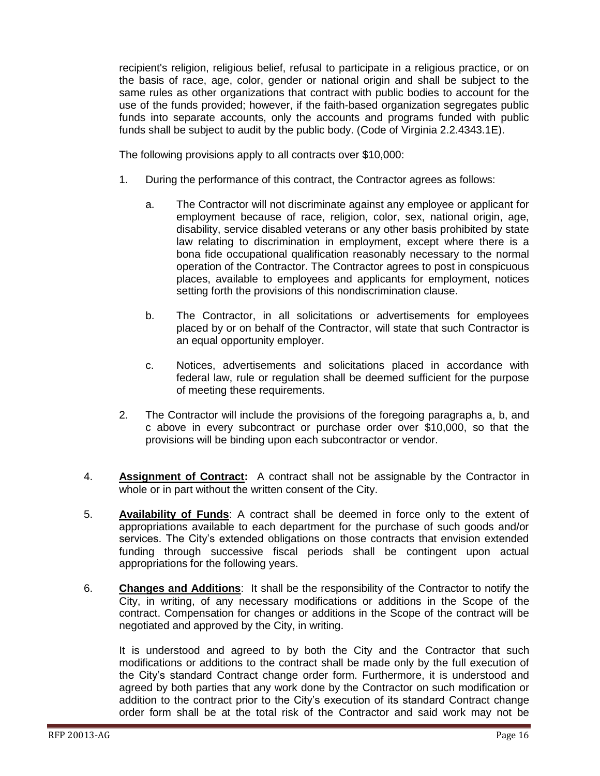recipient's religion, religious belief, refusal to participate in a religious practice, or on the basis of race, age, color, gender or national origin and shall be subject to the same rules as other organizations that contract with public bodies to account for the use of the funds provided; however, if the faith-based organization segregates public funds into separate accounts, only the accounts and programs funded with public funds shall be subject to audit by the public body. (Code of Virginia 2.2.4343.1E).

The following provisions apply to all contracts over \$10,000:

- 1. During the performance of this contract, the Contractor agrees as follows:
	- a. The Contractor will not discriminate against any employee or applicant for employment because of race, religion, color, sex, national origin, age, disability, service disabled veterans or any other basis prohibited by state law relating to discrimination in employment, except where there is a bona fide occupational qualification reasonably necessary to the normal operation of the Contractor. The Contractor agrees to post in conspicuous places, available to employees and applicants for employment, notices setting forth the provisions of this nondiscrimination clause.
	- b. The Contractor, in all solicitations or advertisements for employees placed by or on behalf of the Contractor, will state that such Contractor is an equal opportunity employer.
	- c. Notices, advertisements and solicitations placed in accordance with federal law, rule or regulation shall be deemed sufficient for the purpose of meeting these requirements.
- 2. The Contractor will include the provisions of the foregoing paragraphs a, b, and c above in every subcontract or purchase order over \$10,000, so that the provisions will be binding upon each subcontractor or vendor.
- 4. **Assignment of Contract:** A contract shall not be assignable by the Contractor in whole or in part without the written consent of the City.
- 5. **Availability of Funds**: A contract shall be deemed in force only to the extent of appropriations available to each department for the purchase of such goods and/or services. The City's extended obligations on those contracts that envision extended funding through successive fiscal periods shall be contingent upon actual appropriations for the following years.
- 6. **Changes and Additions**: It shall be the responsibility of the Contractor to notify the City, in writing, of any necessary modifications or additions in the Scope of the contract. Compensation for changes or additions in the Scope of the contract will be negotiated and approved by the City, in writing.

It is understood and agreed to by both the City and the Contractor that such modifications or additions to the contract shall be made only by the full execution of the City's standard Contract change order form. Furthermore, it is understood and agreed by both parties that any work done by the Contractor on such modification or addition to the contract prior to the City's execution of its standard Contract change order form shall be at the total risk of the Contractor and said work may not be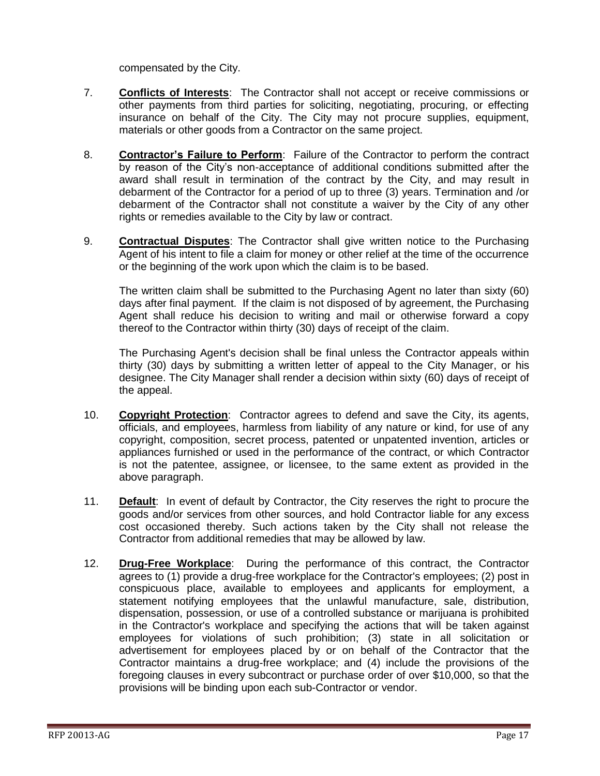compensated by the City.

- 7. **Conflicts of Interests**: The Contractor shall not accept or receive commissions or other payments from third parties for soliciting, negotiating, procuring, or effecting insurance on behalf of the City. The City may not procure supplies, equipment, materials or other goods from a Contractor on the same project.
- 8. **Contractor's Failure to Perform**: Failure of the Contractor to perform the contract by reason of the City's non-acceptance of additional conditions submitted after the award shall result in termination of the contract by the City, and may result in debarment of the Contractor for a period of up to three (3) years. Termination and /or debarment of the Contractor shall not constitute a waiver by the City of any other rights or remedies available to the City by law or contract.
- 9. **Contractual Disputes**: The Contractor shall give written notice to the Purchasing Agent of his intent to file a claim for money or other relief at the time of the occurrence or the beginning of the work upon which the claim is to be based.

The written claim shall be submitted to the Purchasing Agent no later than sixty (60) days after final payment. If the claim is not disposed of by agreement, the Purchasing Agent shall reduce his decision to writing and mail or otherwise forward a copy thereof to the Contractor within thirty (30) days of receipt of the claim.

The Purchasing Agent's decision shall be final unless the Contractor appeals within thirty (30) days by submitting a written letter of appeal to the City Manager, or his designee. The City Manager shall render a decision within sixty (60) days of receipt of the appeal.

- 10. **Copyright Protection**: Contractor agrees to defend and save the City, its agents, officials, and employees, harmless from liability of any nature or kind, for use of any copyright, composition, secret process, patented or unpatented invention, articles or appliances furnished or used in the performance of the contract, or which Contractor is not the patentee, assignee, or licensee, to the same extent as provided in the above paragraph.
- 11. **Default**: In event of default by Contractor, the City reserves the right to procure the goods and/or services from other sources, and hold Contractor liable for any excess cost occasioned thereby. Such actions taken by the City shall not release the Contractor from additional remedies that may be allowed by law.
- 12. **Drug-Free Workplace**: During the performance of this contract, the Contractor agrees to (1) provide a drug-free workplace for the Contractor's employees; (2) post in conspicuous place, available to employees and applicants for employment, a statement notifying employees that the unlawful manufacture, sale, distribution, dispensation, possession, or use of a controlled substance or marijuana is prohibited in the Contractor's workplace and specifying the actions that will be taken against employees for violations of such prohibition; (3) state in all solicitation or advertisement for employees placed by or on behalf of the Contractor that the Contractor maintains a drug-free workplace; and (4) include the provisions of the foregoing clauses in every subcontract or purchase order of over \$10,000, so that the provisions will be binding upon each sub-Contractor or vendor.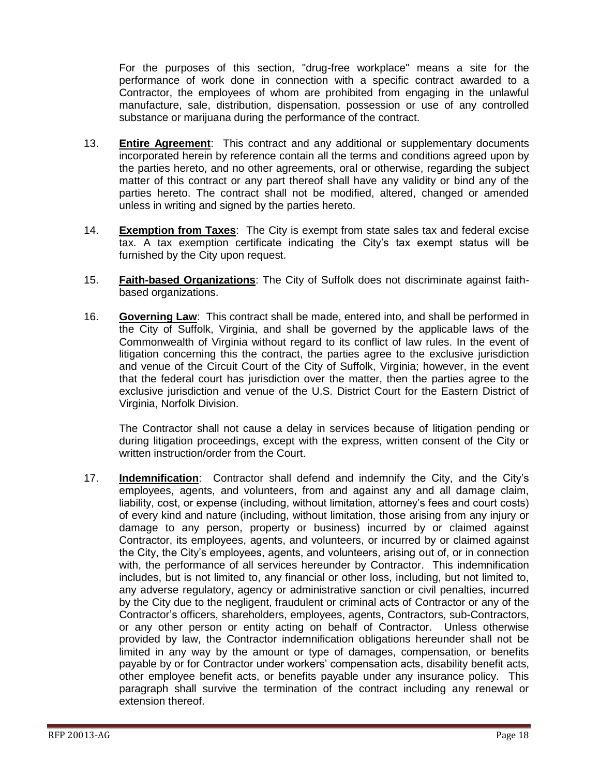For the purposes of this section, "drug-free workplace" means a site for the performance of work done in connection with a specific contract awarded to a Contractor, the employees of whom are prohibited from engaging in the unlawful manufacture, sale, distribution, dispensation, possession or use of any controlled substance or marijuana during the performance of the contract.

- 13. **Entire Agreement**: This contract and any additional or supplementary documents incorporated herein by reference contain all the terms and conditions agreed upon by the parties hereto, and no other agreements, oral or otherwise, regarding the subject matter of this contract or any part thereof shall have any validity or bind any of the parties hereto. The contract shall not be modified, altered, changed or amended unless in writing and signed by the parties hereto.
- 14. **Exemption from Taxes**: The City is exempt from state sales tax and federal excise tax. A tax exemption certificate indicating the City's tax exempt status will be furnished by the City upon request.
- 15. **Faith-based Organizations**: The City of Suffolk does not discriminate against faithbased organizations.
- 16. **Governing Law**: This contract shall be made, entered into, and shall be performed in the City of Suffolk, Virginia, and shall be governed by the applicable laws of the Commonwealth of Virginia without regard to its conflict of law rules. In the event of litigation concerning this the contract, the parties agree to the exclusive jurisdiction and venue of the Circuit Court of the City of Suffolk, Virginia; however, in the event that the federal court has jurisdiction over the matter, then the parties agree to the exclusive jurisdiction and venue of the U.S. District Court for the Eastern District of Virginia, Norfolk Division.

The Contractor shall not cause a delay in services because of litigation pending or during litigation proceedings, except with the express, written consent of the City or written instruction/order from the Court.

17. **Indemnification**: Contractor shall defend and indemnify the City, and the City's employees, agents, and volunteers, from and against any and all damage claim, liability, cost, or expense (including, without limitation, attorney's fees and court costs) of every kind and nature (including, without limitation, those arising from any injury or damage to any person, property or business) incurred by or claimed against Contractor, its employees, agents, and volunteers, or incurred by or claimed against the City, the City's employees, agents, and volunteers, arising out of, or in connection with, the performance of all services hereunder by Contractor. This indemnification includes, but is not limited to, any financial or other loss, including, but not limited to, any adverse regulatory, agency or administrative sanction or civil penalties, incurred by the City due to the negligent, fraudulent or criminal acts of Contractor or any of the Contractor's officers, shareholders, employees, agents, Contractors, sub-Contractors, or any other person or entity acting on behalf of Contractor. Unless otherwise provided by law, the Contractor indemnification obligations hereunder shall not be limited in any way by the amount or type of damages, compensation, or benefits payable by or for Contractor under workers' compensation acts, disability benefit acts, other employee benefit acts, or benefits payable under any insurance policy. This paragraph shall survive the termination of the contract including any renewal or extension thereof.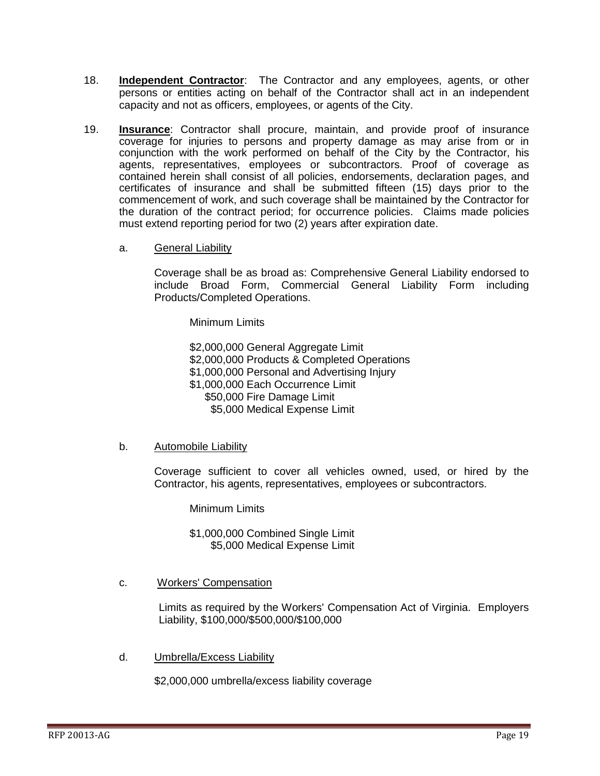- 18. **Independent Contractor**: The Contractor and any employees, agents, or other persons or entities acting on behalf of the Contractor shall act in an independent capacity and not as officers, employees, or agents of the City.
- 19. **Insurance**: Contractor shall procure, maintain, and provide proof of insurance coverage for injuries to persons and property damage as may arise from or in conjunction with the work performed on behalf of the City by the Contractor, his agents, representatives, employees or subcontractors. Proof of coverage as contained herein shall consist of all policies, endorsements, declaration pages, and certificates of insurance and shall be submitted fifteen (15) days prior to the commencement of work, and such coverage shall be maintained by the Contractor for the duration of the contract period; for occurrence policies. Claims made policies must extend reporting period for two (2) years after expiration date.
	- a. General Liability

Coverage shall be as broad as: Comprehensive General Liability endorsed to include Broad Form, Commercial General Liability Form including Products/Completed Operations.

Minimum Limits

\$2,000,000 General Aggregate Limit

- \$2,000,000 Products & Completed Operations
- \$1,000,000 Personal and Advertising Injury
- \$1,000,000 Each Occurrence Limit
	- \$50,000 Fire Damage Limit

\$5,000 Medical Expense Limit

b. Automobile Liability

Coverage sufficient to cover all vehicles owned, used, or hired by the Contractor, his agents, representatives, employees or subcontractors.

Minimum Limits

\$1,000,000 Combined Single Limit \$5,000 Medical Expense Limit

c. Workers' Compensation

Limits as required by the Workers' Compensation Act of Virginia. Employers Liability, \$100,000/\$500,000/\$100,000

d. Umbrella/Excess Liability

\$2,000,000 umbrella/excess liability coverage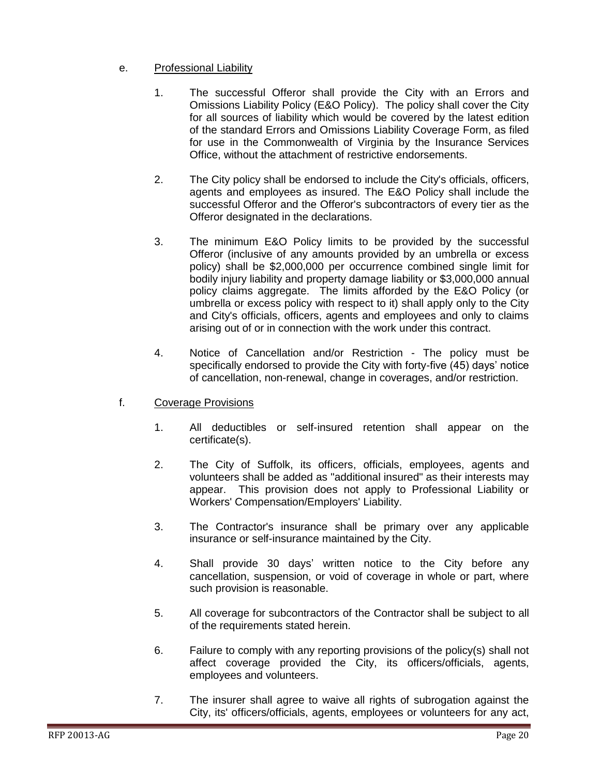## e. Professional Liability

- 1. The successful Offeror shall provide the City with an Errors and Omissions Liability Policy (E&O Policy). The policy shall cover the City for all sources of liability which would be covered by the latest edition of the standard Errors and Omissions Liability Coverage Form, as filed for use in the Commonwealth of Virginia by the Insurance Services Office, without the attachment of restrictive endorsements.
- 2. The City policy shall be endorsed to include the City's officials, officers, agents and employees as insured. The E&O Policy shall include the successful Offeror and the Offeror's subcontractors of every tier as the Offeror designated in the declarations.
- 3. The minimum E&O Policy limits to be provided by the successful Offeror (inclusive of any amounts provided by an umbrella or excess policy) shall be \$2,000,000 per occurrence combined single limit for bodily injury liability and property damage liability or \$3,000,000 annual policy claims aggregate. The limits afforded by the E&O Policy (or umbrella or excess policy with respect to it) shall apply only to the City and City's officials, officers, agents and employees and only to claims arising out of or in connection with the work under this contract.
- 4. Notice of Cancellation and/or Restriction The policy must be specifically endorsed to provide the City with forty-five (45) days' notice of cancellation, non-renewal, change in coverages, and/or restriction.
- f. Coverage Provisions
	- 1. All deductibles or self-insured retention shall appear on the certificate(s).
	- 2. The City of Suffolk, its officers, officials, employees, agents and volunteers shall be added as "additional insured" as their interests may appear. This provision does not apply to Professional Liability or Workers' Compensation/Employers' Liability.
	- 3. The Contractor's insurance shall be primary over any applicable insurance or self-insurance maintained by the City.
	- 4. Shall provide 30 days' written notice to the City before any cancellation, suspension, or void of coverage in whole or part, where such provision is reasonable.
	- 5. All coverage for subcontractors of the Contractor shall be subject to all of the requirements stated herein.
	- 6. Failure to comply with any reporting provisions of the policy(s) shall not affect coverage provided the City, its officers/officials, agents, employees and volunteers.
	- 7. The insurer shall agree to waive all rights of subrogation against the City, its' officers/officials, agents, employees or volunteers for any act,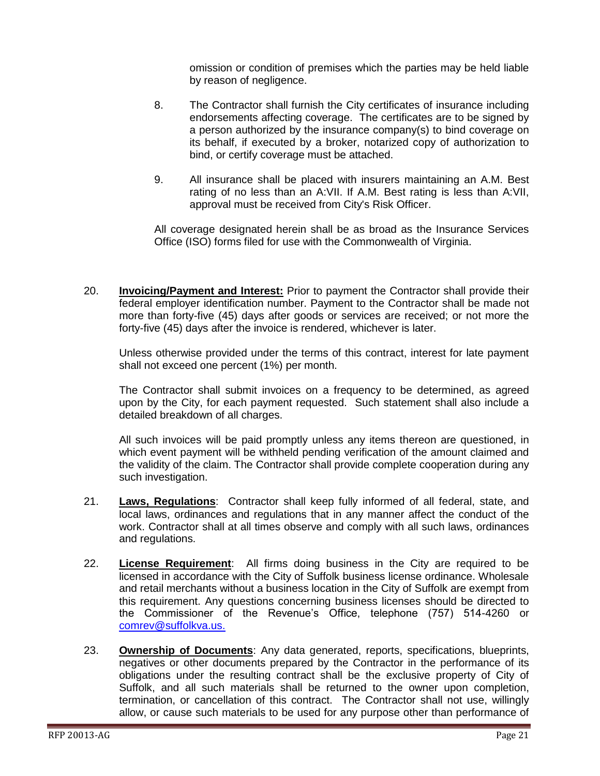omission or condition of premises which the parties may be held liable by reason of negligence.

- 8. The Contractor shall furnish the City certificates of insurance including endorsements affecting coverage. The certificates are to be signed by a person authorized by the insurance company(s) to bind coverage on its behalf, if executed by a broker, notarized copy of authorization to bind, or certify coverage must be attached.
- 9. All insurance shall be placed with insurers maintaining an A.M. Best rating of no less than an A:VII. If A.M. Best rating is less than A:VII, approval must be received from City's Risk Officer.

All coverage designated herein shall be as broad as the Insurance Services Office (ISO) forms filed for use with the Commonwealth of Virginia.

20. **Invoicing/Payment and Interest:** Prior to payment the Contractor shall provide their federal employer identification number. Payment to the Contractor shall be made not more than forty-five (45) days after goods or services are received; or not more the forty-five (45) days after the invoice is rendered, whichever is later.

Unless otherwise provided under the terms of this contract, interest for late payment shall not exceed one percent (1%) per month.

The Contractor shall submit invoices on a frequency to be determined, as agreed upon by the City, for each payment requested. Such statement shall also include a detailed breakdown of all charges.

All such invoices will be paid promptly unless any items thereon are questioned, in which event payment will be withheld pending verification of the amount claimed and the validity of the claim. The Contractor shall provide complete cooperation during any such investigation.

- 21. **Laws, Regulations**: Contractor shall keep fully informed of all federal, state, and local laws, ordinances and regulations that in any manner affect the conduct of the work. Contractor shall at all times observe and comply with all such laws, ordinances and regulations.
- 22. **License Requirement**: All firms doing business in the City are required to be licensed in accordance with the City of Suffolk business license ordinance. Wholesale and retail merchants without a business location in the City of Suffolk are exempt from this requirement. Any questions concerning business licenses should be directed to the Commissioner of the Revenue's Office, telephone (757) 514-4260 or [comrev@suffolkva.us.](mailto:comrev@suffolkva.us)
- 23. **Ownership of Documents**: Any data generated, reports, specifications, blueprints, negatives or other documents prepared by the Contractor in the performance of its obligations under the resulting contract shall be the exclusive property of City of Suffolk, and all such materials shall be returned to the owner upon completion, termination, or cancellation of this contract. The Contractor shall not use, willingly allow, or cause such materials to be used for any purpose other than performance of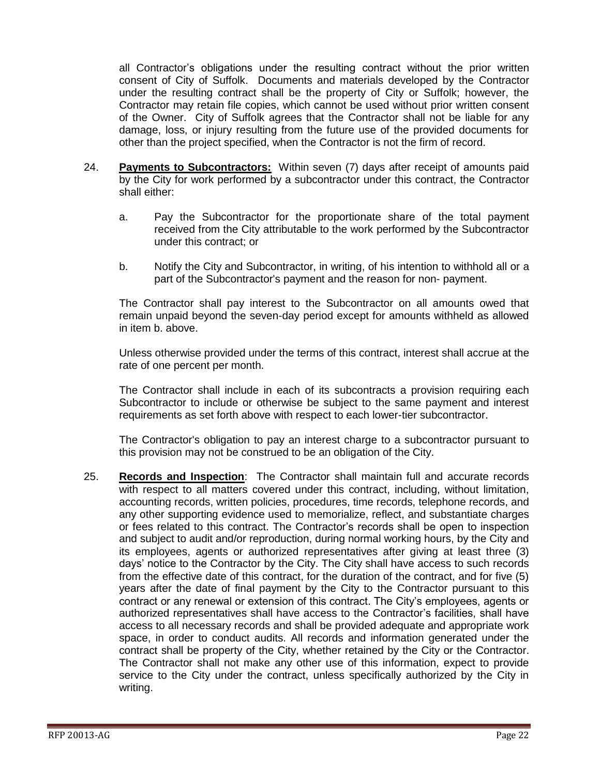all Contractor's obligations under the resulting contract without the prior written consent of City of Suffolk. Documents and materials developed by the Contractor under the resulting contract shall be the property of City or Suffolk; however, the Contractor may retain file copies, which cannot be used without prior written consent of the Owner. City of Suffolk agrees that the Contractor shall not be liable for any damage, loss, or injury resulting from the future use of the provided documents for other than the project specified, when the Contractor is not the firm of record.

- 24. **Payments to Subcontractors:** Within seven (7) days after receipt of amounts paid by the City for work performed by a subcontractor under this contract, the Contractor shall either:
	- a. Pay the Subcontractor for the proportionate share of the total payment received from the City attributable to the work performed by the Subcontractor under this contract; or
	- b. Notify the City and Subcontractor, in writing, of his intention to withhold all or a part of the Subcontractor's payment and the reason for non- payment.

The Contractor shall pay interest to the Subcontractor on all amounts owed that remain unpaid beyond the seven-day period except for amounts withheld as allowed in item b. above.

Unless otherwise provided under the terms of this contract, interest shall accrue at the rate of one percent per month.

The Contractor shall include in each of its subcontracts a provision requiring each Subcontractor to include or otherwise be subject to the same payment and interest requirements as set forth above with respect to each lower-tier subcontractor.

The Contractor's obligation to pay an interest charge to a subcontractor pursuant to this provision may not be construed to be an obligation of the City.

25. **Records and Inspection**: The Contractor shall maintain full and accurate records with respect to all matters covered under this contract, including, without limitation, accounting records, written policies, procedures, time records, telephone records, and any other supporting evidence used to memorialize, reflect, and substantiate charges or fees related to this contract. The Contractor's records shall be open to inspection and subject to audit and/or reproduction, during normal working hours, by the City and its employees, agents or authorized representatives after giving at least three (3) days' notice to the Contractor by the City. The City shall have access to such records from the effective date of this contract, for the duration of the contract, and for five (5) years after the date of final payment by the City to the Contractor pursuant to this contract or any renewal or extension of this contract. The City's employees, agents or authorized representatives shall have access to the Contractor's facilities, shall have access to all necessary records and shall be provided adequate and appropriate work space, in order to conduct audits. All records and information generated under the contract shall be property of the City, whether retained by the City or the Contractor. The Contractor shall not make any other use of this information, expect to provide service to the City under the contract, unless specifically authorized by the City in writing.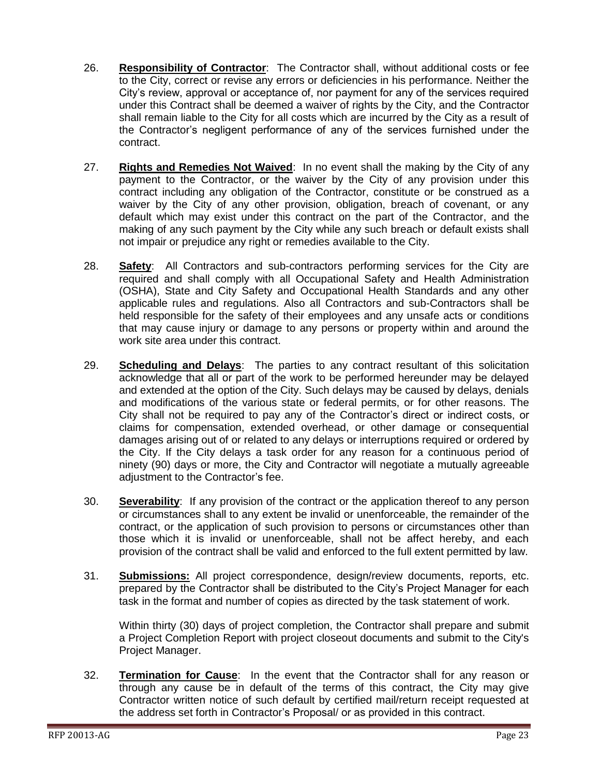- 26. **Responsibility of Contractor**: The Contractor shall, without additional costs or fee to the City, correct or revise any errors or deficiencies in his performance. Neither the City's review, approval or acceptance of, nor payment for any of the services required under this Contract shall be deemed a waiver of rights by the City, and the Contractor shall remain liable to the City for all costs which are incurred by the City as a result of the Contractor's negligent performance of any of the services furnished under the contract.
- 27. **Rights and Remedies Not Waived**: In no event shall the making by the City of any payment to the Contractor, or the waiver by the City of any provision under this contract including any obligation of the Contractor, constitute or be construed as a waiver by the City of any other provision, obligation, breach of covenant, or any default which may exist under this contract on the part of the Contractor, and the making of any such payment by the City while any such breach or default exists shall not impair or prejudice any right or remedies available to the City.
- 28. **Safety**: All Contractors and sub-contractors performing services for the City are required and shall comply with all Occupational Safety and Health Administration (OSHA), State and City Safety and Occupational Health Standards and any other applicable rules and regulations. Also all Contractors and sub-Contractors shall be held responsible for the safety of their employees and any unsafe acts or conditions that may cause injury or damage to any persons or property within and around the work site area under this contract.
- 29. **Scheduling and Delays**: The parties to any contract resultant of this solicitation acknowledge that all or part of the work to be performed hereunder may be delayed and extended at the option of the City. Such delays may be caused by delays, denials and modifications of the various state or federal permits, or for other reasons. The City shall not be required to pay any of the Contractor's direct or indirect costs, or claims for compensation, extended overhead, or other damage or consequential damages arising out of or related to any delays or interruptions required or ordered by the City. If the City delays a task order for any reason for a continuous period of ninety (90) days or more, the City and Contractor will negotiate a mutually agreeable adjustment to the Contractor's fee.
- 30. **Severability**: If any provision of the contract or the application thereof to any person or circumstances shall to any extent be invalid or unenforceable, the remainder of the contract, or the application of such provision to persons or circumstances other than those which it is invalid or unenforceable, shall not be affect hereby, and each provision of the contract shall be valid and enforced to the full extent permitted by law.
- 31. **Submissions:** All project correspondence, design/review documents, reports, etc. prepared by the Contractor shall be distributed to the City's Project Manager for each task in the format and number of copies as directed by the task statement of work.

Within thirty (30) days of project completion, the Contractor shall prepare and submit a Project Completion Report with project closeout documents and submit to the City's Project Manager.

32. **Termination for Cause**: In the event that the Contractor shall for any reason or through any cause be in default of the terms of this contract, the City may give Contractor written notice of such default by certified mail/return receipt requested at the address set forth in Contractor's Proposal/ or as provided in this contract.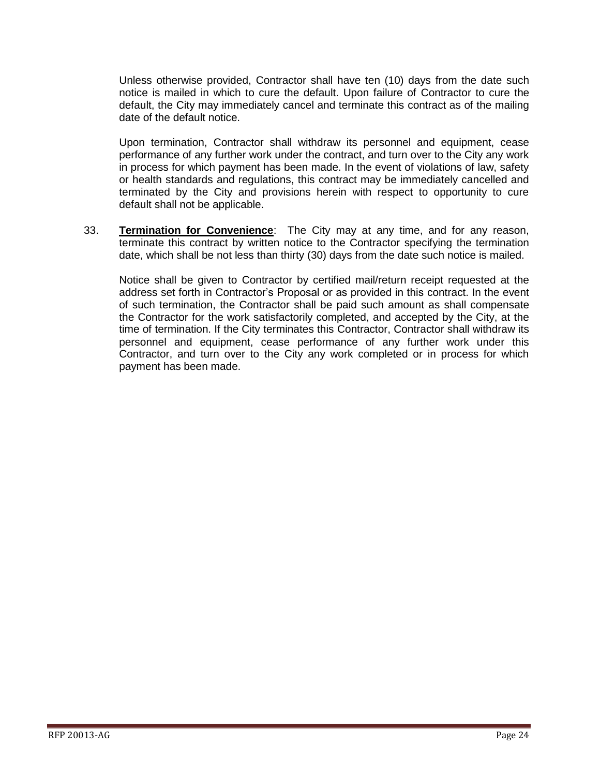Unless otherwise provided, Contractor shall have ten (10) days from the date such notice is mailed in which to cure the default. Upon failure of Contractor to cure the default, the City may immediately cancel and terminate this contract as of the mailing date of the default notice.

Upon termination, Contractor shall withdraw its personnel and equipment, cease performance of any further work under the contract, and turn over to the City any work in process for which payment has been made. In the event of violations of law, safety or health standards and regulations, this contract may be immediately cancelled and terminated by the City and provisions herein with respect to opportunity to cure default shall not be applicable.

33. **Termination for Convenience**: The City may at any time, and for any reason, terminate this contract by written notice to the Contractor specifying the termination date, which shall be not less than thirty (30) days from the date such notice is mailed.

Notice shall be given to Contractor by certified mail/return receipt requested at the address set forth in Contractor's Proposal or as provided in this contract. In the event of such termination, the Contractor shall be paid such amount as shall compensate the Contractor for the work satisfactorily completed, and accepted by the City, at the time of termination. If the City terminates this Contractor, Contractor shall withdraw its personnel and equipment, cease performance of any further work under this Contractor, and turn over to the City any work completed or in process for which payment has been made.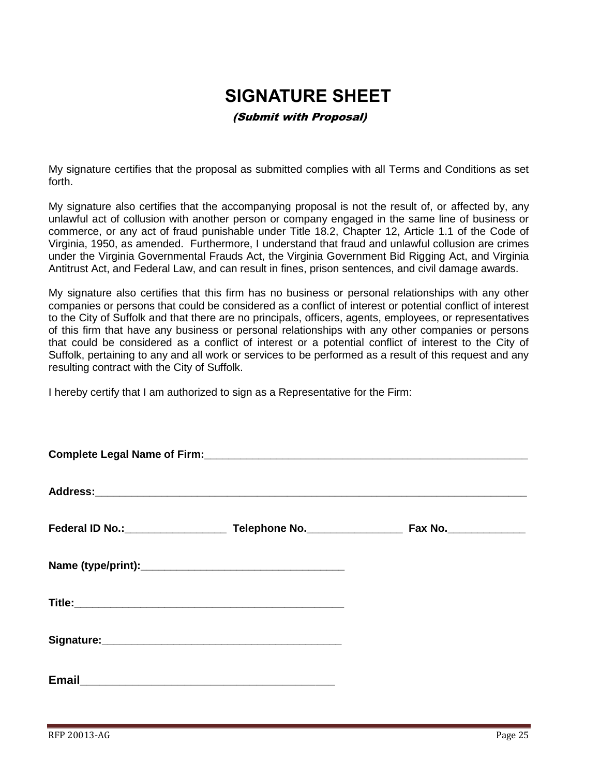## <span id="page-24-0"></span>**SIGNATURE SHEET**

## (Submit with Proposal)

My signature certifies that the proposal as submitted complies with all Terms and Conditions as set forth.

My signature also certifies that the accompanying proposal is not the result of, or affected by, any unlawful act of collusion with another person or company engaged in the same line of business or commerce, or any act of fraud punishable under Title 18.2, Chapter 12, Article 1.1 of the Code of Virginia, 1950, as amended. Furthermore, I understand that fraud and unlawful collusion are crimes under the Virginia Governmental Frauds Act, the Virginia Government Bid Rigging Act, and Virginia Antitrust Act, and Federal Law, and can result in fines, prison sentences, and civil damage awards.

My signature also certifies that this firm has no business or personal relationships with any other companies or persons that could be considered as a conflict of interest or potential conflict of interest to the City of Suffolk and that there are no principals, officers, agents, employees, or representatives of this firm that have any business or personal relationships with any other companies or persons that could be considered as a conflict of interest or a potential conflict of interest to the City of Suffolk, pertaining to any and all work or services to be performed as a result of this request and any resulting contract with the City of Suffolk.

I hereby certify that I am authorized to sign as a Representative for the Firm:

|  |  | Fax No.________________ |
|--|--|-------------------------|
|  |  |                         |
|  |  |                         |
|  |  |                         |
|  |  |                         |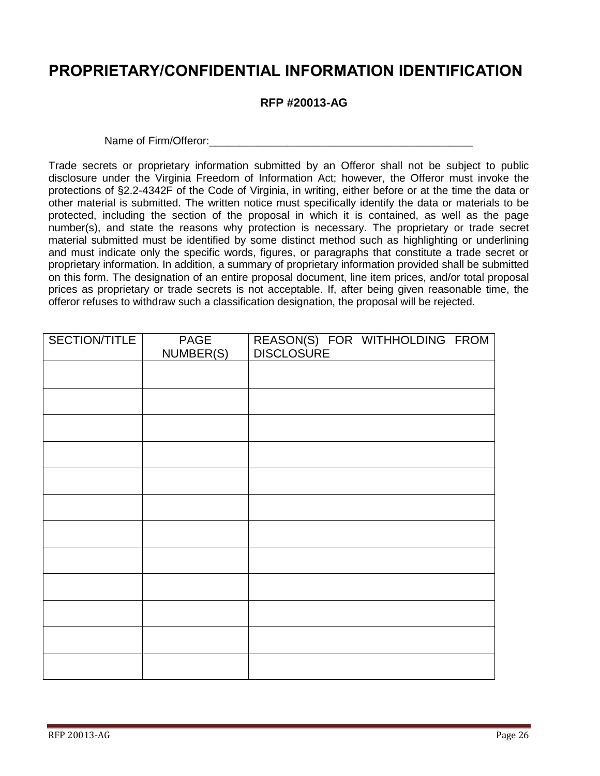## <span id="page-25-0"></span>**PROPRIETARY/CONFIDENTIAL INFORMATION IDENTIFICATION**

## **RFP #20013-AG**

Name of Firm/Offeror: Name of Firm/Offeror:

Trade secrets or proprietary information submitted by an Offeror shall not be subject to public disclosure under the Virginia Freedom of Information Act; however, the Offeror must invoke the protections of §2.2-4342F of the Code of Virginia, in writing, either before or at the time the data or other material is submitted. The written notice must specifically identify the data or materials to be protected, including the section of the proposal in which it is contained, as well as the page number(s), and state the reasons why protection is necessary. The proprietary or trade secret material submitted must be identified by some distinct method such as highlighting or underlining and must indicate only the specific words, figures, or paragraphs that constitute a trade secret or proprietary information. In addition, a summary of proprietary information provided shall be submitted on this form. The designation of an entire proposal document, line item prices, and/or total proposal prices as proprietary or trade secrets is not acceptable. If, after being given reasonable time, the offeror refuses to withdraw such a classification designation, the proposal will be rejected.

| SECTION/TITLE | <b>PAGE</b><br>NUMBER(S) | REASON(S) FOR WITHHOLDING FROM<br>DISCLOSURE |
|---------------|--------------------------|----------------------------------------------|
|               |                          |                                              |
|               |                          |                                              |
|               |                          |                                              |
|               |                          |                                              |
|               |                          |                                              |
|               |                          |                                              |
|               |                          |                                              |
|               |                          |                                              |
|               |                          |                                              |
|               |                          |                                              |
|               |                          |                                              |
|               |                          |                                              |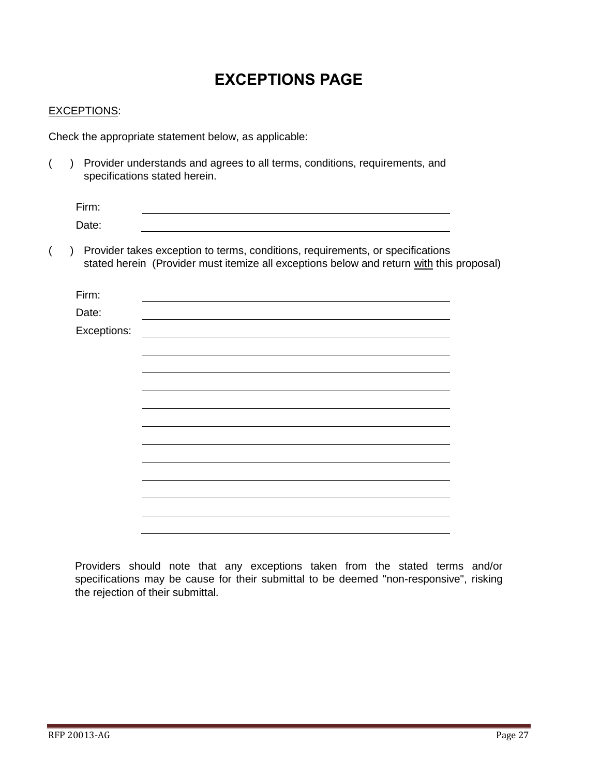## **EXCEPTIONS PAGE**

### <span id="page-26-0"></span>EXCEPTIONS:

Check the appropriate statement below, as applicable:

( ) Provider understands and agrees to all terms, conditions, requirements, and specifications stated herein.

| Firm: |  |  |
|-------|--|--|
| Date: |  |  |

( ) Provider takes exception to terms, conditions, requirements, or specifications stated herein (Provider must itemize all exceptions below and return with this proposal)

| Firm:       |  |
|-------------|--|
| Date:       |  |
| Exceptions: |  |
|             |  |
|             |  |
|             |  |
|             |  |
|             |  |
|             |  |
|             |  |
|             |  |
|             |  |
|             |  |
|             |  |
|             |  |
|             |  |

Providers should note that any exceptions taken from the stated terms and/or specifications may be cause for their submittal to be deemed "non-responsive", risking the rejection of their submittal.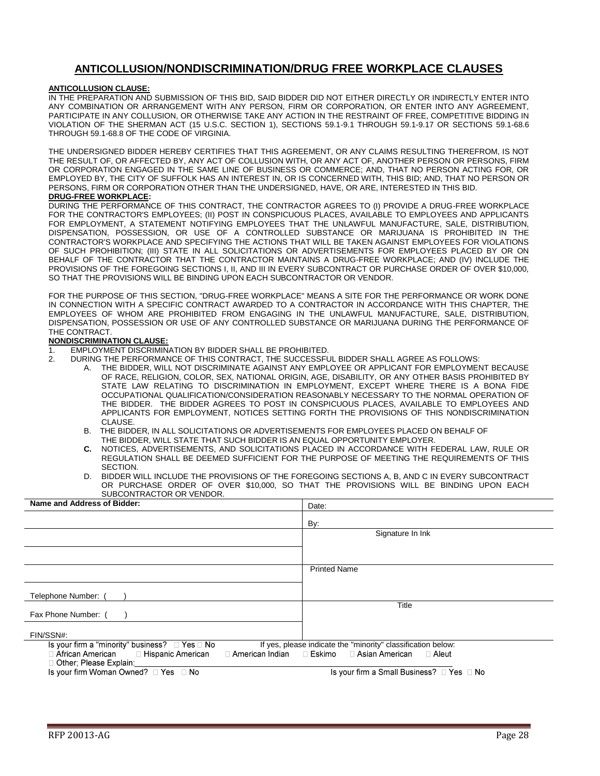## **ANTICOLLUSION/NONDISCRIMINATION/DRUG FREE WORKPLACE CLAUSES**

#### <span id="page-27-0"></span>**ANTICOLLUSION CLAUSE:**

IN THE PREPARATION AND SUBMISSION OF THIS BID, SAID BIDDER DID NOT EITHER DIRECTLY OR INDIRECTLY ENTER INTO ANY COMBINATION OR ARRANGEMENT WITH ANY PERSON, FIRM OR CORPORATION, OR ENTER INTO ANY AGREEMENT, PARTICIPATE IN ANY COLLUSION, OR OTHERWISE TAKE ANY ACTION IN THE RESTRAINT OF FREE, COMPETITIVE BIDDING IN VIOLATION OF THE SHERMAN ACT (15 U.S.C. SECTION 1), SECTIONS 59.1-9.1 THROUGH 59.1-9.17 OR SECTIONS 59.1-68.6 THROUGH 59.1-68.8 OF THE CODE OF VIRGINIA.

THE UNDERSIGNED BIDDER HEREBY CERTIFIES THAT THIS AGREEMENT, OR ANY CLAIMS RESULTING THEREFROM, IS NOT THE RESULT OF, OR AFFECTED BY, ANY ACT OF COLLUSION WITH, OR ANY ACT OF, ANOTHER PERSON OR PERSONS, FIRM OR CORPORATION ENGAGED IN THE SAME LINE OF BUSINESS OR COMMERCE; AND, THAT NO PERSON ACTING FOR, OR EMPLOYED BY, THE CITY OF SUFFOLK HAS AN INTEREST IN, OR IS CONCERNED WITH, THIS BID; AND, THAT NO PERSON OR PERSONS, FIRM OR CORPORATION OTHER THAN THE UNDERSIGNED, HAVE, OR ARE, INTERESTED IN THIS BID.

#### **DRUG-FREE WORKPLACE:**

DURING THE PERFORMANCE OF THIS CONTRACT, THE CONTRACTOR AGREES TO (I) PROVIDE A DRUG-FREE WORKPLACE FOR THE CONTRACTOR'S EMPLOYEES; (II) POST IN CONSPICUOUS PLACES, AVAILABLE TO EMPLOYEES AND APPLICANTS FOR EMPLOYMENT, A STATEMENT NOTIFYING EMPLOYEES THAT THE UNLAWFUL MANUFACTURE, SALE, DISTRIBUTION, DISPENSATION, POSSESSION, OR USE OF A CONTROLLED SUBSTANCE OR MARIJUANA IS PROHIBITED IN THE CONTRACTOR'S WORKPLACE AND SPECIFYING THE ACTIONS THAT WILL BE TAKEN AGAINST EMPLOYEES FOR VIOLATIONS OF SUCH PROHIBITION; (III) STATE IN ALL SOLICITATIONS OR ADVERTISEMENTS FOR EMPLOYEES PLACED BY OR ON BEHALF OF THE CONTRACTOR THAT THE CONTRACTOR MAINTAINS A DRUG-FREE WORKPLACE; AND (IV) INCLUDE THE PROVISIONS OF THE FOREGOING SECTIONS I, II, AND III IN EVERY SUBCONTRACT OR PURCHASE ORDER OF OVER \$10,000, SO THAT THE PROVISIONS WILL BE BINDING UPON EACH SUBCONTRACTOR OR VENDOR.

FOR THE PURPOSE OF THIS SECTION, "DRUG-FREE WORKPLACE" MEANS A SITE FOR THE PERFORMANCE OR WORK DONE IN CONNECTION WITH A SPECIFIC CONTRACT AWARDED TO A CONTRACTOR IN ACCORDANCE WITH THIS CHAPTER, THE EMPLOYEES OF WHOM ARE PROHIBITED FROM ENGAGING IN THE UNLAWFUL MANUFACTURE, SALE, DISTRIBUTION, DISPENSATION, POSSESSION OR USE OF ANY CONTROLLED SUBSTANCE OR MARIJUANA DURING THE PERFORMANCE OF THE CONTRACT.

#### **NONDISCRIMINATION CLAUSE:**

- 1. EMPLOYMENT DISCRIMINATION BY BIDDER SHALL BE PROHIBITED.
- 2. DURING THE PERFORMANCE OF THIS CONTRACT, THE SUCCESSFUL BIDDER SHALL AGREE AS FOLLOWS:
	- A. THE BIDDER, WILL NOT DISCRIMINATE AGAINST ANY EMPLOYEE OR APPLICANT FOR EMPLOYMENT BECAUSE OF RACE, RELIGION, COLOR, SEX, NATIONAL ORIGIN, AGE, DISABILITY, OR ANY OTHER BASIS PROHIBITED BY STATE LAW RELATING TO DISCRIMINATION IN EMPLOYMENT, EXCEPT WHERE THERE IS A BONA FIDE OCCUPATIONAL QUALIFICATION/CONSIDERATION REASONABLY NECESSARY TO THE NORMAL OPERATION OF THE BIDDER. THE BIDDER AGREES TO POST IN CONSPICUOUS PLACES, AVAILABLE TO EMPLOYEES AND APPLICANTS FOR EMPLOYMENT, NOTICES SETTING FORTH THE PROVISIONS OF THIS NONDISCRIMINATION CLAUSE.
	- B. THE BIDDER, IN ALL SOLICITATIONS OR ADVERTISEMENTS FOR EMPLOYEES PLACED ON BEHALF OF THE BIDDER, WILL STATE THAT SUCH BIDDER IS AN EQUAL OPPORTUNITY EMPLOYER.
	- **C.** NOTICES, ADVERTISEMENTS, AND SOLICITATIONS PLACED IN ACCORDANCE WITH FEDERAL LAW, RULE OR REGULATION SHALL BE DEEMED SUFFICIENT FOR THE PURPOSE OF MEETING THE REQUIREMENTS OF THIS SECTION.
	- D. BIDDER WILL INCLUDE THE PROVISIONS OF THE FOREGOING SECTIONS A, B, AND C IN EVERY SUBCONTRACT OR PURCHASE ORDER OF OVER \$10,000, SO THAT THE PROVISIONS WILL BE BINDING UPON EACH SUBCONTRACTOR OR VENDOR.

| Name and Address of Bidder:                                                                                                                  | Date:                                                                                       |
|----------------------------------------------------------------------------------------------------------------------------------------------|---------------------------------------------------------------------------------------------|
|                                                                                                                                              | By:                                                                                         |
|                                                                                                                                              | Signature In Ink                                                                            |
|                                                                                                                                              |                                                                                             |
|                                                                                                                                              | <b>Printed Name</b>                                                                         |
| Telephone Number:                                                                                                                            |                                                                                             |
| Fax Phone Number: (                                                                                                                          | Title                                                                                       |
| FIN/SSN#:                                                                                                                                    |                                                                                             |
| Is your firm a "minority" business? $\Box$ Yes $\Box$ No<br>$\Box$ African American $\Box$ Hispanic American<br>□ American Indian   □ Eskimo | If yes, please indicate the "minority" classification below:<br>□ Asian American<br>⊟ Aleut |
| □ Other; Please Explain:                                                                                                                     |                                                                                             |
| Is your firm Woman Owned? □ Yes □ No                                                                                                         | Is your firm a Small Business? □ Yes □ No                                                   |